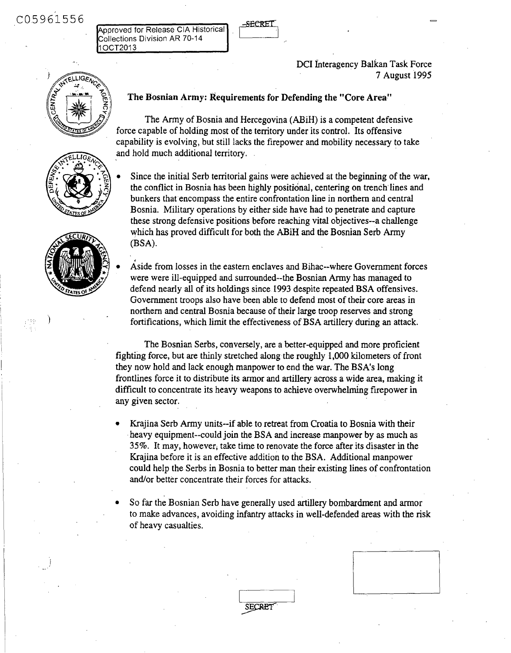C05961556

Approved for Release CIA Historical Collections Division AR 70-14 1 OCT2013

> DCI Interagency Balkan Task Force 7 August 1995



# . ' m **The Bosnian** Army: **Requirements for Defending** the "Core Area"

The Army of Bosnia and Hercegovina (ABiH) **is a competent** defensive force capable of holding most of the territory under its control. Its offensive capability is evolving, but still lacks the firepower and mobility necessary to take and hold much additional territory.

\* **Since** the initial Serb territorial gains were achieved at the **beginning** of the war, o' the conflict in Bosnia has been highly **positional, centering** on trench lines **and** bunkers that encompass the entire confrontation **line in** northern and central **Bosnia.** Military operations by either side have had to penetrate and capture these strong defensive positions before reaching vital objectives--a **challenge** which has proved difficult for both the ABiH and **the Bosnian** Serb Army (BSA).

Aside from losses in the eastern enclaves and Bihac--where Government forces were were ill-equipped and surrounded--the Bosnian Army has managed to defend nearly all of its holdings **since** 1993 despite repeated BSA offensives. Government troops also have been able to defend most of their core **areas in** northern and central Bosnia because of their large troop reserves and strong fortifications, which limit the effectiveness of BSA artillery **during** an attack.

The Bosnian Serbs, conversely, are a better-equipped and more proficient fighting force, but are thinly stretched **along** the roughly 1,000 kilometers of front they now hold and lack enough manpower to end the war. The BSA's long frontlines force it to distribute its armor and artillery across a wide **area,** making it difficult to concentrate its heavy **weapons** to achieve overwhelming firepower in any given sector.

Krajina Serb Army units--if able to retreat from Croatia to Bosnia with their heavy equipment--could join the BSA and increase manpower by as much as 35%. It may, however; take time to renovate the force after its disaster in the Krajina before it is an effective addition to the BSA. Additional manpower could help the Serbs in Bosnia to better man their existing lines of confrontation and/or better concentrate their forces for attacks.

So far the Bosnian Serb have generally used artillery bombardment and armor to make advances, avoiding infantry attacks in well-defended areas with the risk of heavy casualties.

**SECRET** 





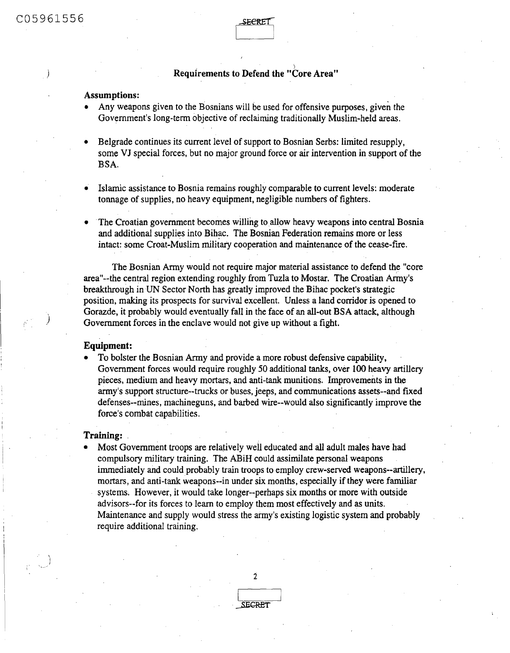# **Requirements to Defend the "Core Area"**

## **Assumptions:**

- Any weapons given to the Bosnians will be used for offensive purposes, given the Government's long-term objective of reclaiming traditionally Muslim-held areas.
- Belgrade continues its current level of support to Bosnian Serbs: limited resupply, some VJ special forces, but no major ground force or air intervention in support of the BSA.
- Islamic assistance to Bosnia remains roughly comparable to current levels: moderate tonnage of supplies, no heavy equipment, negligible numbers of fighters.
- " The Croatian government becomes willing to allow heavy weapons into central Bosnia and additional supplies into Bihac. The Bosnian Federation remains more or less intact: some Croat-Muslim military cooperation and maintenance of the cease-fire.

The Bosnian Army would not require major material **assistance** to defend the "core area"--the central region extending roughly from Tuzla to Mostar. The Croatian Army's breakthrough in UN Sector North has greatly improved the Bihac pocket's strategic position, making its prospects for survival excellent. Unless a land corridor is opened to Gorazde, it probably would eventually fall in the face of an all-out BSA attack, although Government forces in the enclave would not give up without a fight.

#### **Equipment:**

e To bolster the Bosnian Army and provide a more robust defensive capability, Government forces would require roughly 50 additional tanks, over 100 heavy artillery pieces, medium and heavy mortars, and anti-tank munitions. Improvements in the army's support structure--trucks or buses, jeeps, and communications **assets--and** fixed defenses--mines, machineguns, and barbed wire--would also significantly improve the force's combat capabilities.

### **Training:**

\* Most Government troops are relatively well educated and all adult **males** have had compulsory military training. The ABiH could assimilate personal weapons immediately and could probably train troops to employ crew-served weapons--artillery, mortars, and anti-tank weapons--in under six months, especially if they were familiar systems. However, it would take longer--perhaps six months or more with outside advisors--for its forces to learn to employ them most effectively and as units. Maintenance and supply would stress the army's existing logistic system and probably require additional training.

2

**SECRET**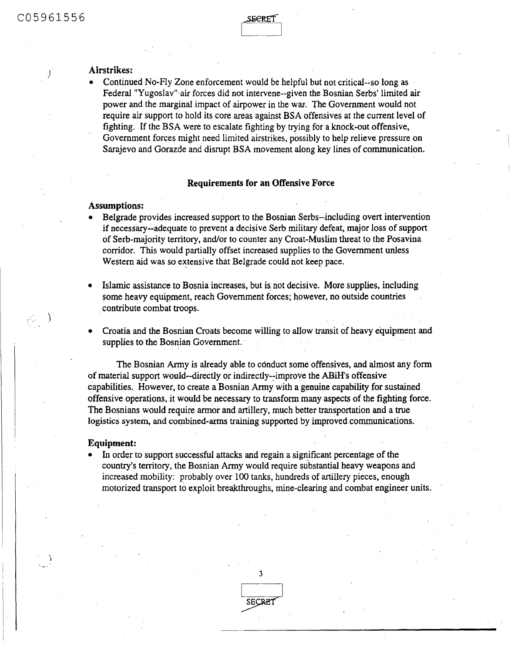$\vec{P}_{\rm eff}$ 

#### Airstrikes:

• Continued No-Fly Zone enforcement would be helpful but not critical-so long as Federal "Yugoslav" air forces did not intervene--given the Bosnian Serbs' limited air power and the marginal impact of airpower in the war. The Government would not require air support to hold its core areas against BSA offensives at the current level of fighting. If the BSA were to escalate fighting by trying for a knock-out offensive, Government forces might need limited airstrikes, possibly to help relieve pressure on Sarajevo and Gorazde and disrupt BSA movement along key lines of communication.

#### **Requirements for an Offensive Force**

### **Assumptions:**

- Belgrade provides increased support to the Bosnian Serbs--including overt intervention if necessary--adequate to prevent a decisive Serb military defeat, major loss of support of Serb-majority territory, and/or to counter any Croat-Muslim threat to the Posavina corridor. This would partially offset increased supplies to the Government unless Western aid was so extensive that Belgrade could not keep pace.
- Islamic assistance to Bosnia increases, but is not decisive. More supplies, including some heavy equipment, reach Government forces; however, no outside countries contribute combat troops.
- \* Croatia and the Bosnian Croats become willing to allow transit of heavy equipment and supplies to the Bosnian Government.

The Bosnian Army is already able to conduct some offensives, and almost any form of material support would--directly or indirectly--improve the ABiH's offensive capabilities. However, to create a Bosnian Army with a genuine capability for sustained offensive operations, it would be necessary to transform many aspects of the fighting force. The Bosnians would require armor and artillery, much better transportation and a true logistics system, and combined-arms training supported by improved. communications.

#### **Equipment:**

\* In order to support successful attacks and regain **a** significant percentage of the country's territory, the Bosnian Army would require substantial heavy weapons and increased mobility: probably over 100 tanks, hundreds of artillery pieces, enough motorized transport to exploit breakthroughs, mine-clearing and combat engineer units.